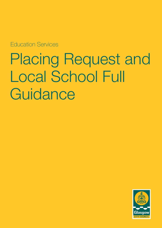Education Services

Placing Request and Local School Full **Guidance** 

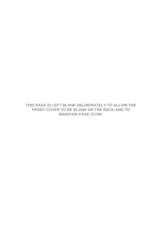THIS PAGE IS LEFT BLANK DELIBERATELY TO ALLOW THE FRONT COVER TO BE BLANK ON THE BACK AND TO **MAINTAIN PAGE FLOW.**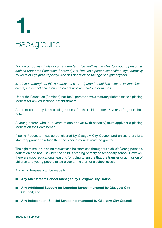# Background **1.**

*For the purposes of this document the term "parent" also applies to a young person as defined under the Education (Scotland) Act 1980 as a person over school age, normally 16 years of age (with capacity) who has not attained the age of eighteenyears*

*In addition throughout this document, the term "parent" should be taken to include foster carers, residential care staff and carers who are relatives or friends.*

Under the Education (Scotland) Act 1980, parents have a statutory right to make a placing request for any educational establishment.

A parent can apply for a placing request for their child under 16 years of age on their behalf.

A young person who is 16 years of age or over (with capacity) must apply for a placing request on their own behalf.

Placing Requests must be considered by Glasgow City Council and unless there is a statutory ground to refuse then the placing request must be granted.

The right to make a placing request can be exercised throughout a child's/young person's education and not just when the child is starting primary or secondary school. However, there are good educational reasons for trying to ensure that the transfer or admission of children and young people takes place at the start of a school session.

A Placing Request can be made to:

- Any Mainstream School managed by Glasgow City Council;
- Any Additional Support for Learning School managed by Glasgow City **Council**; and
- Any Independent Special School not managed by Glasgow City Council.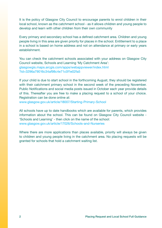It is the policy of Glasgow City Council to encourage parents to enrol children in their local school, known as the catchment school - as it allows children and young people to develop and learn with other children from their own community

Every primary and secondary school has a defined catchment area. Children and young people living in this area are given priority for places in the school. Entitlement to a place in a school is based on home address and not on attendance at primary or early years establishment.

You can check the catchment schools associated with your address on Glasgow City Council website, Schools and Learning 'My Catchment Area': [glasgowgis.maps.arcgis.com/apps/webappviewer/index.html](https://glasgowgis.maps.arcgis.com/apps/webappviewer/index.html?id=3296a79016c34af98c4e71c0f1e02fa5) ?id=3296a79016c34af98c4e71c0f1e02fa5

If your child is due to start school in the forthcoming August, they should be registered with their catchment primary school in the second week of the preceding November. Public Notifications and social media posts issued in October each year provide details of this. Thereafter you are free to make a placing request to a school of your choice. Registration can be done online at:

www.glasgow.gov.uk/article/18007/Starting-Primary-School

All schools have up to date handbooks which are available for parents, which provides information about the school. This can be found on Glasgow City Council website - 'Schools and Learning' - then click on the name of the school: www.glasgow.gov.uk/article/17026/Schools-and-Nurseries

Where there are more applications than places available, priority will always be given to children and young people living in the catchment area. No placing requests will be granted for schools that hold a catchment waiting list.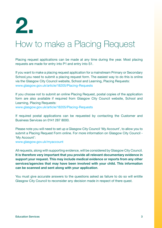

## How to make a Placing Request

Placing request applications can be made at any time during the year. Most placing requests are made for entry into P1 and entry into S1.

If you want to make a placing request application for a mainstream Primary or Secondary School,you need to submit a placing request form. The easiest way to do this is online via the Glasgow City Council website, School and Learning, Placing Requests: www.glasgow.gov.uk/article/18205/Placing-Requests

If you choose not to submit an online Placing Request, postal copies of the application form are also available if required from Glasgow City Council website, School and Learning, Placing Requests:

www.glasgow.gov.uk/article/18205/Placing-Requests

If required postal applications can be requested by contacting the Customer and Business Services on 0141 287 8000.

Please note you will need to set up a Glasgow City Council 'My Account', to allow you to submit a Placing Request Form online. For more information on Glasgow City Council - 'My Account':

www.glasgow.gov.uk/myaccount

All requests, along with supporting evidence, will be considered by Glasgow City Council. **It is therefore very important that you provide all relevant documentary evidence in support your request. This may include medical evidence or reports from any other services/agencies that may have been involved with your child. This information can be scanned and sent along with your application**.

You must give accurate answers to the questions asked as failure to do so will entitle Glasgow City Council to reconsider any decision made in respect of there quest.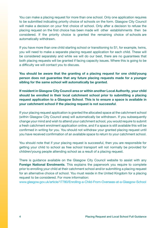You can make a placing request for more than one school. Only one application requires to be submitted indicating priority choice of schools on the form. Glasgow City Council will make a decision on your first choice of school. Only after a decision to refuse the placing request on the first choice has been made will other establishments then be considered. If the priority choice is granted the remaining choice of schools are automatically withdrawn.

If you have more than one child starting school or transitioning to S1, for example, twins, you will need to make a separate placing request application for each child. These will be considered separately and while we will do our best, there are no guarantees that both placing requests will be granted if facing capacity issues. Where this is going to be a difficulty we will contact you to discuss.

**You should be aware that the granting of a placing request for one child/young person does not guarantee that any future placing requests made for a younger sibling for the same school will automatically be granted**.

**If resident in Glasgow City Council area or within another Local Authority**, **your child should be enrolled in their local catchment school prior to submitting a placing request application to a Glasgow School**. **This is to ensure a space is available in your catchment school if the placing request is not successful**.

If your placing request application is granted the allocated space at the catchment school (within Glasgow City Council area) will automatically be withdrawn. If you subsequently change your mind and wish to attend your catchment school, you would require to submit a fresh catchment enrolment application online, and if a space is still available this will be confirmed in writing for you. You should not withdraw your granted placing request until you have received confirmation of an available space to return to your catchment school.

You should note that if your placing request is successful, then you are responsible for getting your child to school as free school transport will not normally be provided for children/young people attending school as a result of a placing request.

There is guidance available on the Glasgow City Council website to assist with any **Foreign National Enrolments.** This explains the paperwork you require to complete prior to enrolling your child at their catchment school and/or submitting a placing request for an alternative choice of school. You must reside in the United Kingdom for a placing request to be considered. For more information:

www.glasgow.gov.uk/article/17780/Enrolling-a-Child-From-Overseas-at-a-Glasgow-School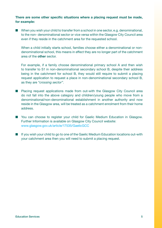#### **There are some other specific situations where a placing request must be made, for example:**

 $\blacksquare$  When you wish your child to transfer from a school in one sector, e.g. denominational, to the non- denominational sector or vice versa within the Glasgow City Council area even if they reside in the catchment area for the requested school.

When a child initially starts school, families choose either a denominational or nondenominational school, this means in effect they are no longer part of the catchment area of the **other** sector.

For example, if a family choose denominational primary school A and then wish to transfer to S1 in non-denominational secondary school B, despite their address being in the catchment for school B, they would still require to submit a placing request application to request a place in non-denominational secondary school B, as they are *"crossing sector"*.

- Placing request applications made from out-with the Glasgow City Council area do not fall into the above category and children/young people who move from a denominational/non-denominational establishment in another authority and now reside in the Glasgow area, will be treated as a catchment enrolment from their home address.
- You can choose to register your child for Gaelic Medium Education in Glasgow. Further Information is available on Glasgow City Council website: www.glasgow.gov.uk/article/17535/GaelicGCC
- $\blacksquare$  If you wish your child to go to one of the Gaelic Medium Education locations out-with your catchment area then you will need to submit a placing request.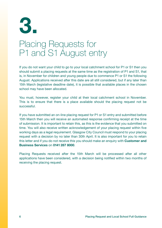

## Placing Requests for P1 and S1 August entry

If you do not want your child to go to your local catchment school for P1 or S1 then you should submit a placing requests at the same time as the registration of P1 and S1, that is, in November for children and young people due to commence P1 or S1 the following August. Applications received after this date are all still considered, but if any later than 15th March (legislative deadline date), it is possible that available places in the chosen school may have been allocated.

You must, however, register your child at their local catchment school in November. This is to ensure that there is a place available should the placing request not be successful.

If you have submitted an on-line placing request for P1 or S1 entry and submitted before 15th March then you will receive an automated response confirming receipt at the time of submission. It is important to retain this, as this is the evidence that you submitted on time. You will also receive written acknowledgement of your placing request within five working days as a legal requirement. Glasgow City Council must respond to your placing request with a decision by no later than 30th April. It is also important for you to retain this letter and if you do not receive this you should make an enquiry with **Customer and Business Services** on **0141 287 8000**.

Placing Requests received after the 15th March will be processed after all other applications have been considered, with a decision being notified within two months of receiving the placing request.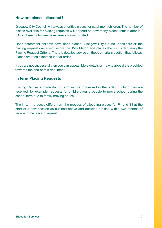#### **How are places allocated?**

Glasgow City Council will always prioritise places for catchment children. The number of places available for placing requests will depend on how many places remain after P1/ S1 catchment children have been accommodated.

Once catchment children have been placed, Glasgow City Council considers all the placing requests received before the 15th March and places them in order using the Placing Request Criteria. There is detailed advice on these criteria in section that follows. Places are then allocated in that order.

If you are not successful then you can appeal. More details on how to appeal are provided towards the end of this document.

#### **In term Placing Requests**

Placing Requests made during term will be processed in the order in which they are received, for example, requests for children/young people to move school during the school term due to family moving house.

The in term process differs from the process of allocating places for P1 and S1 at the start of a new session as outlined above and decision notified within two months of receiving the placing request.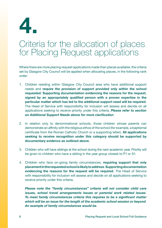

#### Criteria for the allocation of places for Placing Request applications

Where there are more placing request applications made than places available, the criteria set by Glasgow City Council will be applied when allocating places, in the following rank order:

- 1. Children residing within Glasgow City Council area who have additional support needs and **require the provision of support provided only within the school requested**. **Supporting documentation evidencing the reasons for the request**, **signed by an appropriately qualified person with a proven expertise in the particular matter which has led to the additional support need will be required**. The Head of Service with responsibility for inclusion will assess and decide on all applications seeking to receive priority under this criteria. *Please refer to section on Additional Support Needs above for more clarification*.
- 2. In relation only to denominational schools, those children whose parents can demonstrate an affinity with the religious ethos of the school (for example, a baptismal certificate from the Roman Catholic Church or a supporting letter). **All applications seeking to receive recognition under this category should be supported by documentary evidence as outlined above**.
- 3. Children who will have siblings at the school during the next academic year. Priority will be given to children who have a sibling in the year group closest to P1 or S1.
- 4. Children who face on-going family circumstances, **requiring support that only placement in the requested school is likely to address**. **Supporting documentation evidencing the reasons for the request will be required**. The Head of Service with responsibility for inclusion will assess and decide on all applications seeking to receive priority under this criteria.

*Please note the "family circumstances" criteria will not consider child care issues, school travel arrangements issues or parental work related issues. To meet family circumstances criteria this requires to be a significant matter which will be an issue for the length of the academic school session or beyond. An example of family circumstances would be.*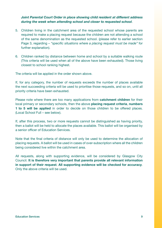#### *Joint Parental Court Order in place showing child resident at different address during the week when attending school and closer to requested school*.

- 5. Children living in the catchment area of the requested school whose parents are required to make a placing request because the children are not attending a school of the same denomination as the requested school. (please refer to earlier section Page 3, regarding – *"specific situations where a placing request must be made"* for further explanation).
- 6. Children ranked by distance between home and school by a suitable walking route (This criteria will be used when all of the above have been exhausted). Those living closest to school ranking highest.

The criteria will be applied in the order shown above.

If, for any category, the number of requests exceeds the number of places available the next succeeding criteria will be used to prioritise those requests, and so on, until all priority criteria have been exhausted.

Please note where there are too many applications from **catchment children** for their local primary or secondary schools, then the above **placing request criteria**, **numbers 1 to 5 will be applied** in order to decide on those children to be offered places. (Local School Full – see below).

If, after this process, two or more requests cannot be distinguished as having priority, then a ballot will be held to allocate the places available. This ballot will be organised by a senior officer of Education Services.

Note that the final criteria of distance will only be used to determine the allocation of placing requests. A ballot will be used in cases of over-subscription where all the children being considered live within the catchment area.

All requests, along with supporting evidence, will be considered by Glasgow City Council. **It is therefore very important that parents provide all relevant information in support of their request**. **All supporting evidence will be checked for accuracy**. Only the above criteria will be used.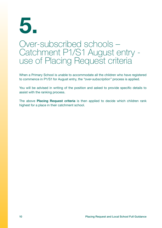# **5.**

#### Over-subscribed schools – Catchment P1/S1 August entry use of Placing Request criteria

When a Primary School is unable to accommodate all the children who have registered to commence in P1/S1 for August entry, the *"over-subscription"* process is applied.

You will be advised in writing of the position and asked to provide specific details to assist with the ranking process.

The above **Placing Request criteria** is then applied to decide which children rank highest for a place in their catchment school.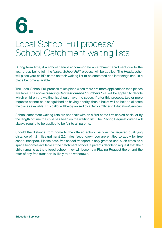

## Local School Full process/ School Catchment waiting lists

During term time, if a school cannot accommodate a catchment enrolment due to the year group being full, the *"Local School Full"* process will be applied. The Headteacher will place your child's name on their waiting list to be contacted at a later stage should a place become available.

The Local School Full process takes place when there are more applications than places available. The above *"Placing Request criteria"* **numbers 1 - 5** will be applied to decide which child on the waiting list should have the space. If after this process, two or more requests cannot be distinguished as having priority, then a ballot will be held to allocate the places available. This ballot will be organised by a Senior Officer in Education Services.

School catchment waiting lists are not dealt with on a first come first served basis, or by the length of time the child has been on the waiting list. The Placing Request criteria will always require to be applied to be fair to all parents.

Should the distance from home to the offered school be over the required qualifying distance of 1.2 miles (primary) 2.2 miles (secondary), you are entitled to apply for free school transport. Please note, free school transport is only granted until such times as a space becomes available at the catchment school. If parents decide to request that their child remains at the offered school, they will become a Placing Request there, and the offer of any free transport is likely to be withdrawn.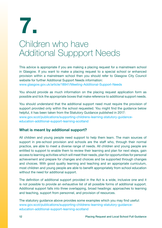

## Children who have Additional Suppport Needs

This advice is appropriate if you are making a placing request for a mainstream school in Glasgow. If you want to make a placing request to a special school or enhanced provision within a mainstream school then you should refer to Glasgow City Council website for further Additional Support Needs information:

www.glasgow.gov.uk/article/18941/Meeting-Additional-Support-Needs

You should provide as much information on the placing request application form as possible and tick the appropriate boxes that make reference to additional support needs.

You should understand that the additional support need must require the provision of support provided only within the school requested. You might find the quidance below helpful, it has been taken from the Statutory Guidance published in 2017: [www.gov.scot/publications/supporting-childrens-learning-statutory-guidance](www.gov.scot/publications/supporting-childrens-learning-statutory-guidance-education-additional-support-learning-scotland)education-additional-support-learning-scotland

#### **What is meant by additional support?**

All children and young people need support to help them learn. The main sources of support in pre-school provision and schools are the staff who, through their normal practice, are able to meet a diverse range of needs. All children and young people are entitled to support to enable them to review their learning and plan for next steps, gain access to learning activities which will meet their needs, plan for opportunities for personal achievement and prepare for changes and choices and be supported through changes and choices. With good quality learning and teaching and an appropriate curriculum, most children and young people are able to benefit appropriately from school education without the need for additional support.

The definition of additional support provided in the Act is a wide, inclusive one and it is not possible to provide an exhaustive list of all possible forms of additional support. Additional support falls into three overlapping, broad headings: approaches to learning and teaching, support from personnel, and provision of resources.

The statutory guidance above provides some examples which you may find useful: [www.gov.scot/publications/supporting-childrens-learning-statutory-guidance](www.gov.scot/publications/supporting-childrens-learning-statutory-guidance-education-additional-support-learning-scotland)education-additional-support-learning-scotland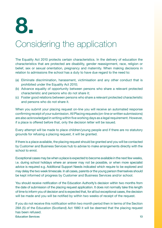

## Considering the application

The Equality Act 2010 protects certain characteristics. In the delivery of education the characteristics that are protected are disability, gender reassignment, race, religion or belief, sex or sexual orientation, pregnancy and maternity. When making decisions in relation to admissions the school has a duty to have due regard to the need to:

- (a) Eliminate discrimination, harassment, victimisation and any other conduct that is prohibited under the Equality Act 2010;
- (b) Advance equality of opportunity between persons who share a relevant protected characteristic and persons who do not share it;
- (c) Foster good relations between persons who share a relevant protected characteristic and persons who do not share it.

When you submit your placing request on-line you will receive an automated response confirming receipt of your submission. All Placing requests (on-line or written submissions) are also acknowledged in writing within five working days as a legal requirement. However, if a place is offered before that, only the decision letter will be issued.

Every attempt will be made to place children/young people and if there are no statutory grounds for refusing a placing request, it will be granted.

If there is a place available, the placing request should be granted and you will be contacted by Customer and Business Services hub to advise to make arrangements directly with the school to enrol.

Exceptional cases may be when a place is expected to become available in the next few weeks, i.e. during school holidays where an answer may not be possible, or when more specialist advice is required e.g. Additional Support Needs indicated which require to be explored and may delay the two week timescale. In all cases, parents or the young person themselves should be kept informed of progress by Customer and Business Services and/or school.

You should receive notification of the Education Authority's decision within two months from the date of submission of the placing request application. It does not normally take this length of time to inform you of decision and is expected that, for all but exceptional cases, the decision will be made and you will be notified by within two weeks of receipt of the request.

If you do not receive this notification within two month period then in terms of the Section 28A (5) of the Education (Scotland) Act 1980 it will be deemed that the placing request has been refused.

Education Services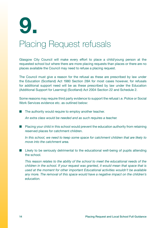

## Placing Request refusals

Glasgow City Council will make every effort to place a child/young person at the requested school but where there are more placing requests than places or there are no places available the Council may need to refuse a placing request.

The Council must give a reason for the refusal as these are prescribed by law under the Education (Scotland) Act 1980 Section 28A for most cases however, for refusals for additional support need will be as these prescribed by law under the Education (Additional Support for Learning) (Scotland) Act 2004 Section 22 and Schedule 2.

Some reasons may require third party evidence to support the refusal i.e. Police or Social Work Services evidence etc. as outlined below:

 $\blacksquare$  The authority would require to employ another teacher.

*An extra class would be needed and as such requires a teacher.*

 $\blacksquare$  Placing your child in this school would prevent the education authority from retaining reserved places for catchment children.

*In this school, we need to keep some space for catchment children that are likely to move into the catchment area.*

 $\blacksquare$  Likely to be seriously detrimental to the educational well-being of pupils attending the school.

*This reason relates to the ability of the school to meet the educational needs of the children in the school. If your request was granted, it would mean that space that is used at the moment for other important Educational activities wouldn't be available any more. The removal of this space would have a negative impact on the children's education.*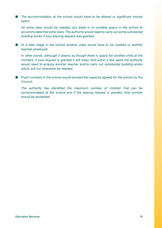$\blacksquare$  The accommodation at the school would have to be altered or significant money spent.

*An extra class would be needed, but there is no suitable space in the school to accommodate that extra class. The authority would need to carry out some substantial building works if your placing request was granted.*

■ At a later stage in the school another class would have to be created or another teacher employed.

*In other words, although it seems as though there is space for another child at the moment, if your request is granted it will mean that within a few years the authority would need to employ another teacher and/or carry out substantial building works which will not otherwise be needed.*

 $\blacksquare$  Pupil numbers in the school would exceed the capacity agreed for the school by the Council.

*The authority has identified the maximum number of children that can be*  accommodated at the school and if the placing request is granted, that number *would be exceeded.*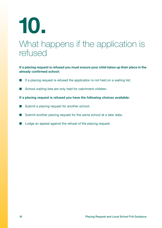# **10.**

## What happens if the application is refused

#### **If a placing request is refused you must ensure your child takes up their place in the already confirmed school:**

- If a placing request is refused the application is not held on a waiting list;
- School waiting lists are only held for catchment children.

#### **If a placing request is refused you have the following choices available:**

- $\blacksquare$  Submit a placing request for another school;
- Submit another placing request for the same school at a later date;
- $\blacksquare$  Lodge an appeal against the refusal of the placing request.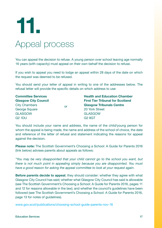# Appeal process **11.**

You can appeal the decision to refuse. A young person over school leaving age normally 16 years (with capacity) must appeal on their own behalf the decision to refuse.

If you wish to appeal you need to lodge an appeal within 28 days of the date on which the request was deemed to be refused.

You should send your letter of appeal in writing to one of the addresses below. The refusal letter will provide the specific details on which address to use:

| <b>Committee Services</b>   | or | <b>Health and Education Chamber</b><br><b>First Tier Tribunal for Scotland</b> |
|-----------------------------|----|--------------------------------------------------------------------------------|
| <b>Glasgow City Council</b> |    |                                                                                |
| <b>City Chambers</b>        |    | <b>Glasgow Tribunals Centre</b>                                                |
| <b>George Square</b>        |    | 20 York Street                                                                 |
| <b>GLASGOW</b>              |    | <b>GLASGOW</b>                                                                 |
| <b>G2 1DU</b>               |    | <b>G2 8GT</b>                                                                  |

You should include your name and address, the name of the child/young person for whom the appeal is being made, the name and address of the school of choice, the date and reference of the letter of refusal and statement indicating the reasons for appeal against the decision.

**Please note:** The Scottish Government's Choosing a School: A Guide for Parents 2016 (link below) advises parents about appeals as follows:

*"You may be very disappointed that your child cannot go to the school you want, but there is not much point in appealing simply because you are disappointed. You must have a good reason for asking the appeal committee to look at your request again*.

**Before parents decide to appeal**, they should consider: whether they agree with what Glasgow City Council has said; whether what Glasgow City Council has said is allowable (see The Scottish Government's Choosing a School: A Guide for Parents 2016, pages 11 and 12 for reasons allowable in the law); and whether the council's guidelines have been followed (see The Scottish Government's Choosing a School: A Guide for Parents 2016, page 13 for notes of guidelines).

www.gov.scot/publications/choosing-school-guide-parents-nov-16